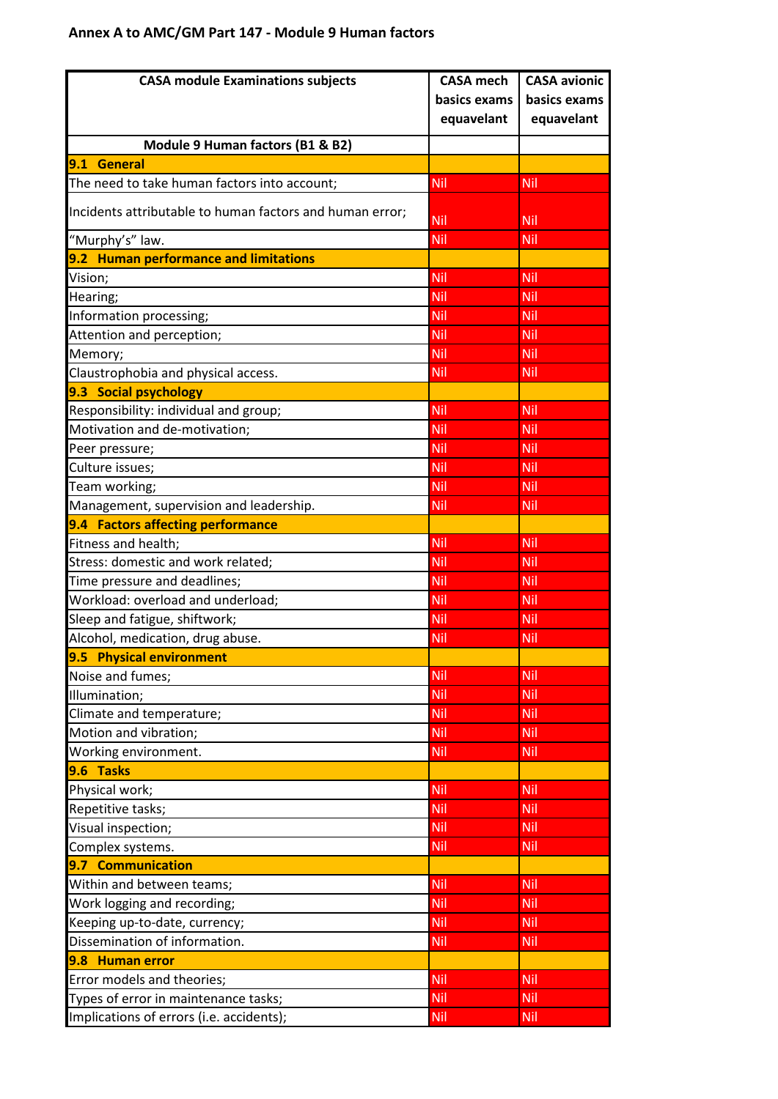## **Annex A to AMC/GM Part 147 - Module 9 Human factors**

| <b>CASA module Examinations subjects</b>                 | <b>CASA mech</b> | <b>CASA avionic</b> |
|----------------------------------------------------------|------------------|---------------------|
|                                                          | basics exams     | basics exams        |
|                                                          | equavelant       | equavelant          |
| Module 9 Human factors (B1 & B2)                         |                  |                     |
| <b>General</b><br>9.1                                    |                  |                     |
| The need to take human factors into account;             | <b>Nil</b>       | Nil                 |
| Incidents attributable to human factors and human error; | Nil              | Nil                 |
| "Murphy's" law.                                          | Nil              | Nil                 |
| 9.2 Human performance and limitations                    |                  |                     |
| Vision;                                                  | Nil              | Nil                 |
| Hearing;                                                 | Nil              | Nil                 |
| Information processing;                                  | Nil              | Nil                 |
| Attention and perception;                                | Nil              | Nil                 |
| Memory;                                                  | <b>Nil</b>       | Nil                 |
| Claustrophobia and physical access.                      | <b>Nil</b>       | Nil                 |
| 9.3 Social psychology                                    |                  |                     |
| Responsibility: individual and group;                    | Nil              | Nil                 |
| Motivation and de-motivation;                            | Nil              | Nil                 |
| Peer pressure;                                           | <b>Nil</b>       | Nil                 |
| Culture issues;                                          | Nil              | Nil                 |
| Team working;                                            | <b>Nil</b>       | Nil                 |
| Management, supervision and leadership.                  | <b>Nil</b>       | Nil                 |
| 9.4 Factors affecting performance                        |                  |                     |
| Fitness and health;                                      | Nil              | Nil                 |
| Stress: domestic and work related;                       | Nil              | Nil                 |
| Time pressure and deadlines;                             | <b>Nil</b>       | Nil                 |
| Workload: overload and underload;                        | Nil              | Nil                 |
| Sleep and fatigue, shiftwork;                            | Nil              | Nil                 |
| Alcohol, medication, drug abuse.                         | <b>Nil</b>       | Nil                 |
| 9.5 Physical environment                                 |                  |                     |
| Noise and fumes;                                         | Nil              | Nil                 |
| Illumination;                                            | Nil              | Nil                 |
| Climate and temperature;                                 | <b>Nil</b>       | Nil                 |
| Motion and vibration;                                    | Nil              | Nil                 |
| Working environment.                                     | Nil              | Nil                 |
| 9.6 Tasks                                                |                  |                     |
| Physical work;                                           | Nil              | Nil                 |
| Repetitive tasks;                                        | <b>Nil</b>       | Nil                 |
| Visual inspection;                                       | Nil              | Nil                 |
| Complex systems.                                         | <b>Nil</b>       | Nil                 |
| 9.7 Communication                                        |                  |                     |
| Within and between teams;                                | Nil              | Nil                 |
| Work logging and recording;                              | <b>Nil</b>       | Nil                 |
| Keeping up-to-date, currency;                            | Nil              | Nil                 |
| Dissemination of information.                            | <b>Nil</b>       | Nil                 |
| 9.8 Human error                                          |                  |                     |
| Error models and theories;                               | Nil              | Nil                 |
| Types of error in maintenance tasks;                     | Nil              | Nil                 |
| Implications of errors (i.e. accidents);                 | Nil              | <u>Nil</u>          |